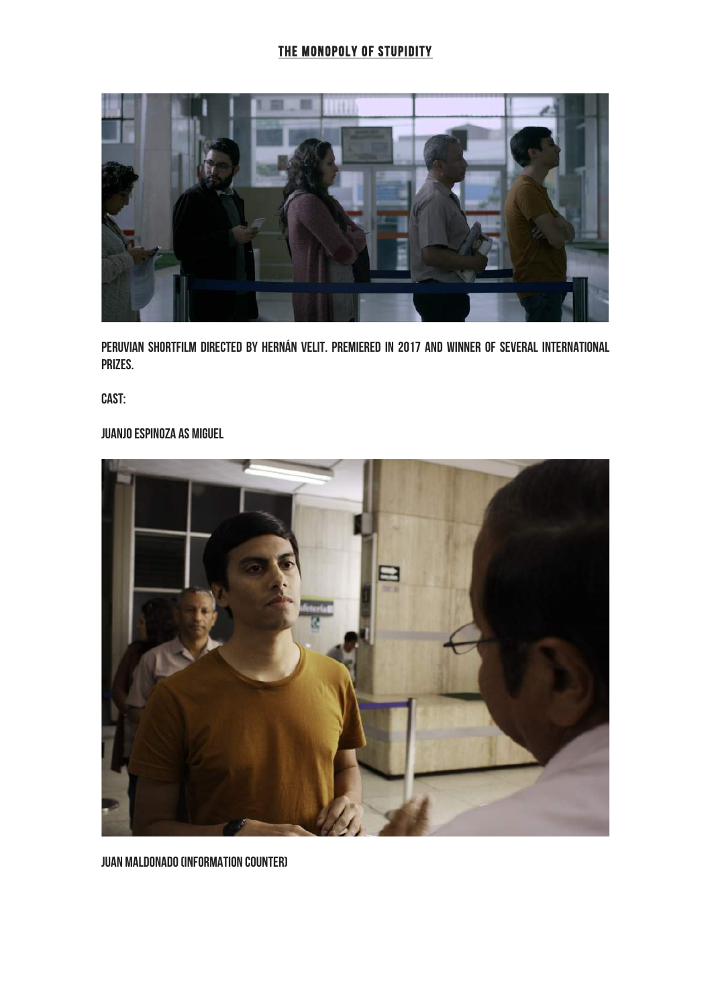# THE MONOPOLY OF STUPIDITY



Peruvian Shortfilm directed by Hernán Velit. Premiered in 2017 and winner of several international prizes.

Cast:

# Juanjo Espinoza as Miguel



Juan Maldonado (Information counter)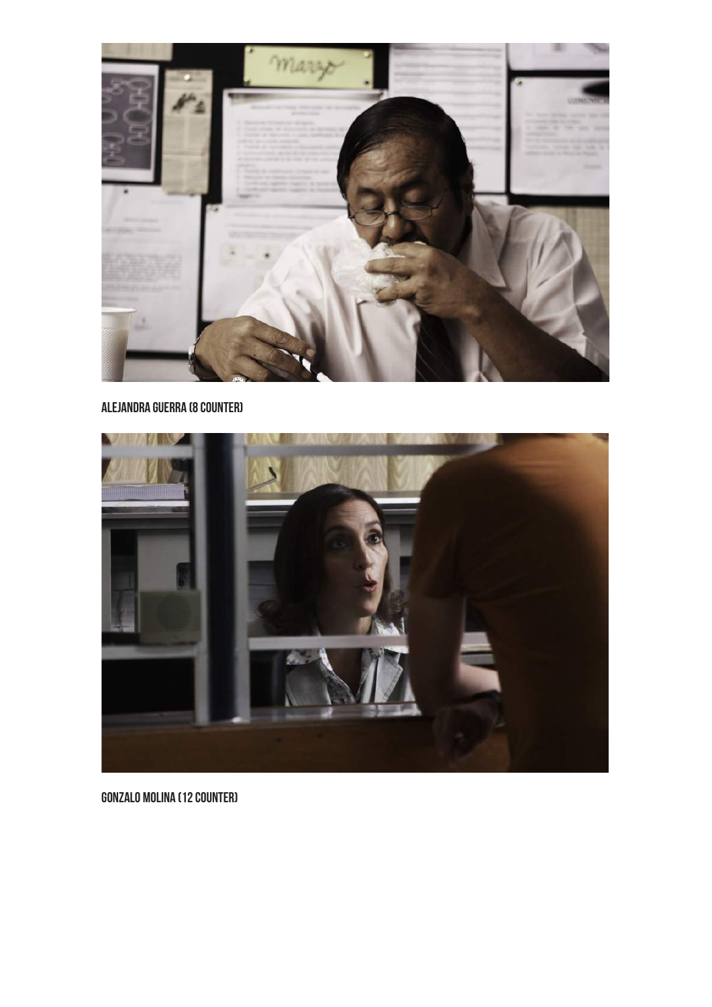

# Alejandra Guerra (8 counter)



Gonzalo Molina (12 counter)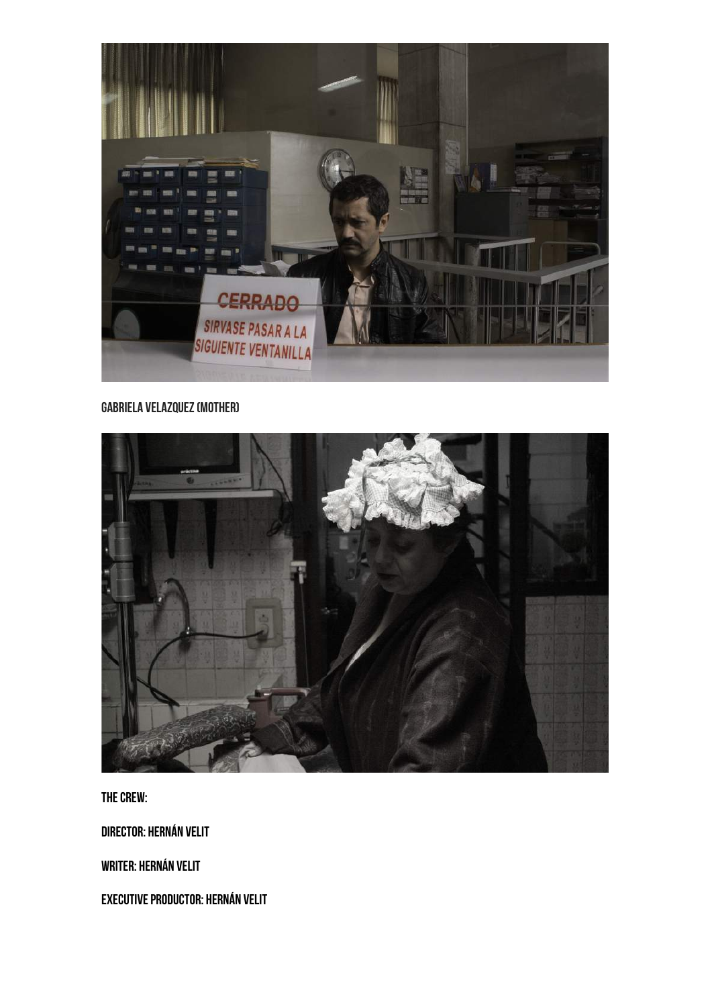

## **GABRIELA VELAZQUEZ (MOTHER)**



The Crew:

Director: Hernán Velit

Writer: Hernán Velit

Executive Productor: Hernán Velit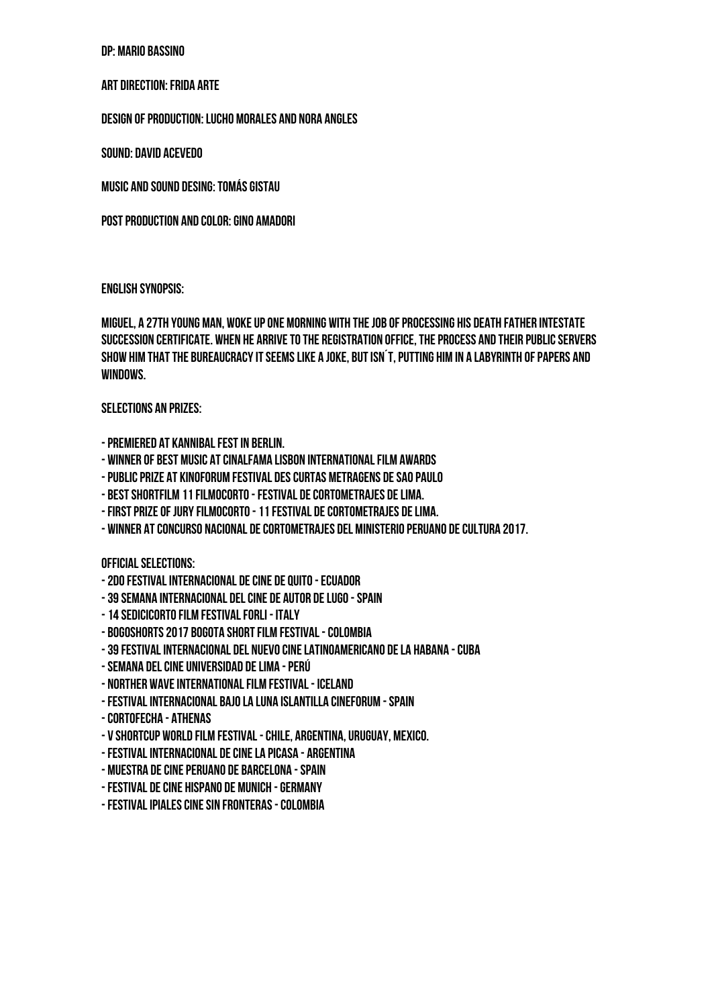#### DP: Mario Bassino

#### Art Direction: Frida Arte

Design of Production: Lucho Morales and Nora Angles

Sound: David Acevedo

Music and Sound Desing: Tomás Gistau

Post production and Color: Gino Amadori

#### English Synopsis:

Miguel, a 27th young man, woke up one morning with the job of processing his death father intestate succession certificate. When he arrive to the registration office, the process and their public servers show him that the bureaucracy it seems like a joke, but isn´t, putting him in a labyrinth of papers and windows.

### Selections an Prizes:

-Premiered at Kannibal Fest in Berlin.

- Winner of Best Music at Cinalfama Lisbon International film awards
- -Public prize at Kinoforum Festival des curtas metragens de Sao Paulo
- Best shortfilm 11Filmocorto -Festival de cortometrajes de Lima.
- FIRST PRIZE OF JURY FILMOCORTO 11 FESTIVAL DE CORTOMETRAJES DE LIMA.
- Winner at Concurso Nacional de Cortometrajes del Ministerio Peruano de Cultura 2017.

Official Selections:

- -2do Festival internacional de cine de Quito -Ecuador
- -39 Semana internacional del cine de autor de Lugo -Spain
- -14 Sedicicorto Film festival Forli Italy
- Bogoshorts 2017 Bogota Short Film Festival -Colombia
- -39 Festival internacional del nuevo cine latinoamericano de La Habana -Cuba
- -Semana del Cine Universidad de Lima -Perú
- Norther Wave international film festival Iceland
- -Festival Internacional Bajo la Luna Islantilla Cineforum -Spain
- -Cortofecha Athenas
- V Shortcup World Film Festival -Chile, Argentina, Uruguay, Mexico.
- -Festival internacional de cine La Picasa Argentina
- Muestra de cine Peruano de Barcelona -Spain
- -Festival de cine Hispano de Munich -Germany
- -Festival Ipiales Cine sin Fronteras -Colombia